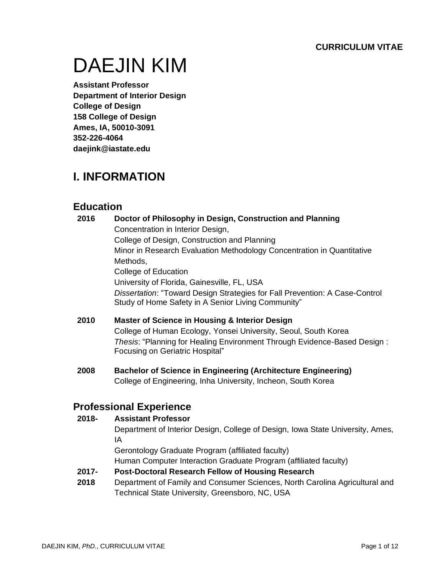# DAEJIN KIM

**Assistant Professor Department of Interior Design College of Design 158 College of Design Ames, IA, 50010-3091 352-226-4064 daejink@iastate.edu**

# **I. INFORMATION**

# **Education**

- **2016 Doctor of Philosophy in Design, Construction and Planning** Concentration in Interior Design, College of Design, Construction and Planning Minor in Research Evaluation Methodology Concentration in Quantitative Methods, College of Education University of Florida, Gainesville, FL, USA *Dissertation*: "Toward Design Strategies for Fall Prevention: A Case-Control Study of Home Safety in A Senior Living Community"
- **2010 Master of Science in Housing & Interior Design** College of Human Ecology, Yonsei University, Seoul, South Korea *Thesis*: "Planning for Healing Environment Through Evidence-Based Design : Focusing on Geriatric Hospital"
- **2008 Bachelor of Science in Engineering (Architecture Engineering)** College of Engineering, Inha University, Incheon, South Korea

# **Professional Experience**

#### **2018- Assistant Professor**

Department of Interior Design, College of Design, Iowa State University, Ames, IA

Gerontology Graduate Program (affiliated faculty)

Human Computer Interaction Graduate Program (affiliated faculty)

#### **2017- Post-Doctoral Research Fellow of Housing Research**

**2018** Department of Family and Consumer Sciences, North Carolina Agricultural and Technical State University, Greensboro, NC, USA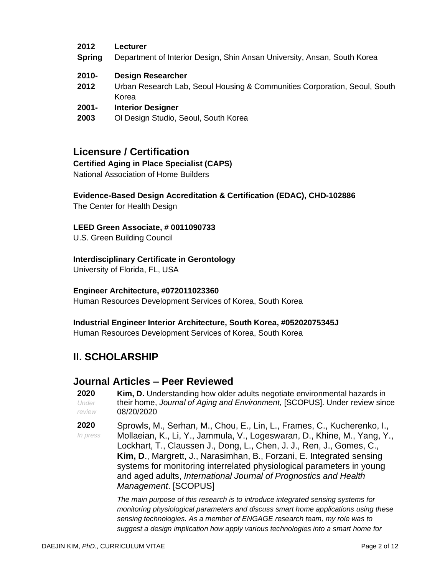#### **2012 Lecturer**

- **Spring** Department of Interior Design, Shin Ansan University, Ansan, South Korea
- **2010- Design Researcher**
- **2012** Urban Research Lab, Seoul Housing & Communities Corporation, Seoul, South Korea
- **2001- Interior Designer**
- **2003** Ol Design Studio, Seoul, South Korea

### **Licensure / Certification**

#### **Certified Aging in Place Specialist (CAPS)**

National Association of Home Builders

#### **Evidence-Based Design Accreditation & Certification (EDAC), CHD-102886**

The Center for Health Design

#### **LEED Green Associate, # 0011090733**

U.S. Green Building Council

#### **Interdisciplinary Certificate in Gerontology**

University of Florida, FL, USA

#### **Engineer Architecture, #072011023360**

Human Resources Development Services of Korea, South Korea

#### **Industrial Engineer Interior Architecture, South Korea, #05202075345J**

Human Resources Development Services of Korea, South Korea

# **II. SCHOLARSHIP**

#### **Journal Articles – Peer Reviewed**

- **2020** *Under review* **Kim, D.** Understanding how older adults negotiate environmental hazards in their home, *Journal of Aging and Environment,* [SCOPUS]. Under review since 08/20/2020
- **2020** *In press* Sprowls, M., Serhan, M., Chou, E., Lin, L., Frames, C., Kucherenko, I., Mollaeian, K., Li, Y., Jammula, V., Logeswaran, D., Khine, M., Yang, Y., Lockhart, T., Claussen J., Dong, L., Chen, J. J., Ren, J., Gomes, C., **Kim, D**., Margrett, J., Narasimhan, B., Forzani, E. Integrated sensing systems for monitoring interrelated physiological parameters in young and aged adults, *International Journal of Prognostics and Health Management*. [SCOPUS]

*The main purpose of this research is to introduce integrated sensing systems for monitoring physiological parameters and discuss smart home applications using these sensing technologies. As a member of ENGAGE research team, my role was to suggest a design implication how apply various technologies into a smart home for*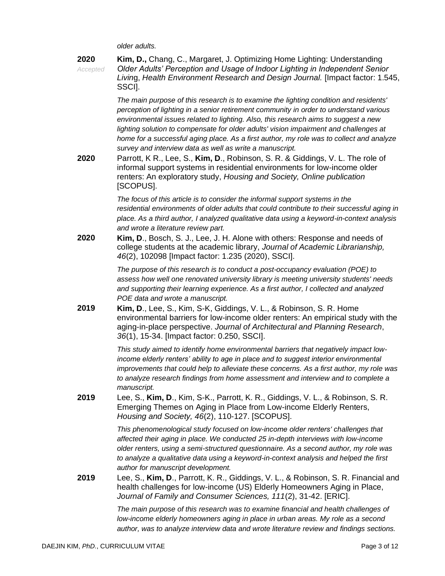*older adults.* 

| 2020<br>Accepted | Kim, D., Chang, C., Margaret, J. Optimizing Home Lighting: Understanding<br>Older Adults' Perception and Usage of Indoor Lighting in Independent Senior<br>Living, Health Environment Research and Design Journal. [Impact factor: 1.545,<br>SSCI].                                                                                                                                                                                                                                                                                                                                                                                                                                                                                                                           |
|------------------|-------------------------------------------------------------------------------------------------------------------------------------------------------------------------------------------------------------------------------------------------------------------------------------------------------------------------------------------------------------------------------------------------------------------------------------------------------------------------------------------------------------------------------------------------------------------------------------------------------------------------------------------------------------------------------------------------------------------------------------------------------------------------------|
| 2020             | The main purpose of this research is to examine the lighting condition and residents'<br>perception of lighting in a senior retirement community in order to understand various<br>environmental issues related to lighting. Also, this research aims to suggest a new<br>lighting solution to compensate for older adults' vision impairment and challenges at<br>home for a successful aging place. As a first author, my role was to collect and analyze<br>survey and interview data as well as write a manuscript.<br>Parrott, K R., Lee, S., Kim, D., Robinson, S. R. & Giddings, V. L. The role of<br>informal support systems in residential environments for low-income older<br>renters: An exploratory study, Housing and Society, Online publication<br>[SCOPUS]. |
|                  | The focus of this article is to consider the informal support systems in the<br>residential environments of older adults that could contribute to their successful aging in<br>place. As a third author, I analyzed qualitative data using a keyword-in-context analysis<br>and wrote a literature review part.                                                                                                                                                                                                                                                                                                                                                                                                                                                               |
| 2020             | Kim, D., Bosch, S. J., Lee, J. H. Alone with others: Response and needs of<br>college students at the academic library, Journal of Academic Librarianship,<br>46(2), 102098 [Impact factor: 1.235 (2020), SSCI].                                                                                                                                                                                                                                                                                                                                                                                                                                                                                                                                                              |
|                  | The purpose of this research is to conduct a post-occupancy evaluation (POE) to<br>assess how well one renovated university library is meeting university students' needs<br>and supporting their learning experience. As a first author, I collected and analyzed<br>POE data and wrote a manuscript.                                                                                                                                                                                                                                                                                                                                                                                                                                                                        |
| 2019             | Kim, D., Lee, S., Kim, S-K, Giddings, V. L., & Robinson, S. R. Home<br>environmental barriers for low-income older renters: An empirical study with the<br>aging-in-place perspective. Journal of Architectural and Planning Research,<br>36(1), 15-34. [Impact factor: 0.250, SSCI].                                                                                                                                                                                                                                                                                                                                                                                                                                                                                         |
|                  | This study aimed to identify home environmental barriers that negatively impact low-<br>income elderly renters' ability to age in place and to suggest interior environmental<br>improvements that could help to alleviate these concerns. As a first author, my role was<br>to analyze research findings from home assessment and interview and to complete a<br>manuscript.                                                                                                                                                                                                                                                                                                                                                                                                 |
| 2019             | Lee, S., Kim, D., Kim, S-K., Parrott, K. R., Giddings, V. L., & Robinson, S. R.<br>Emerging Themes on Aging in Place from Low-income Elderly Renters,<br>Housing and Society, 46(2), 110-127. [SCOPUS].                                                                                                                                                                                                                                                                                                                                                                                                                                                                                                                                                                       |
|                  | This phenomenological study focused on low-income older renters' challenges that<br>affected their aging in place. We conducted 25 in-depth interviews with low-income<br>older renters, using a semi-structured questionnaire. As a second author, my role was<br>to analyze a qualitative data using a keyword-in-context analysis and helped the first<br>author for manuscript development.                                                                                                                                                                                                                                                                                                                                                                               |
| 2019             | Lee, S., Kim, D., Parrott, K. R., Giddings, V. L., & Robinson, S. R. Financial and<br>health challenges for low-income (US) Elderly Homeowners Aging in Place,<br>Journal of Family and Consumer Sciences, 111(2), 31-42. [ERIC].                                                                                                                                                                                                                                                                                                                                                                                                                                                                                                                                             |
|                  | The main purpose of this research was to examine financial and health challenges of<br>low-income elderly homeowners aging in place in urban areas. My role as a second<br>author, was to analyze interview data and wrote literature review and findings sections.                                                                                                                                                                                                                                                                                                                                                                                                                                                                                                           |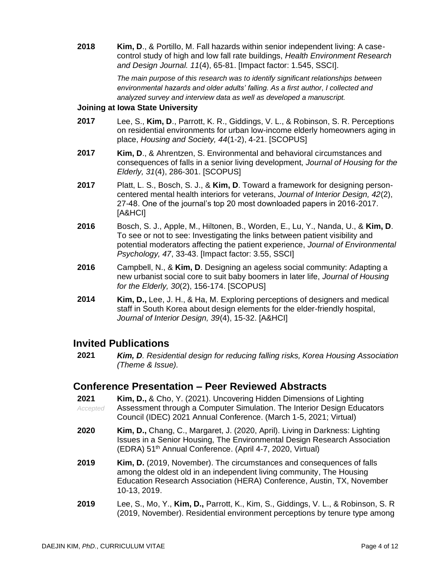**2018 Kim, D**., & Portillo, M. Fall hazards within senior independent living: A casecontrol study of high and low fall rate buildings, *Health Environment Research and Design Journal. 11*(4), 65-81. [Impact factor: 1.545, SSCI].

> *The main purpose of this research was to identify significant relationships between environmental hazards and older adults' falling. As a first author, I collected and analyzed survey and interview data as well as developed a manuscript.*

#### **Joining at Iowa State University**

- **2017** Lee, S., **Kim, D**., Parrott, K. R., Giddings, V. L., & Robinson, S. R. Perceptions on residential environments for urban low-income elderly homeowners aging in place, *Housing and Society, 44*(1-2), 4-21. [SCOPUS]
- **2017 Kim, D**., & Ahrentzen, S. Environmental and behavioral circumstances and consequences of falls in a senior living development, *Journal of Housing for the Elderly, 31*(4), 286-301. [SCOPUS]
- **2017** Platt, L. S., Bosch, S. J., & **Kim, D**. Toward a framework for designing personcentered mental health interiors for veterans, *Journal of Interior Design, 42*(2), 27-48. One of the journal's top 20 most downloaded papers in 2016-2017. [A&HCI]
- **2016** Bosch, S. J., Apple, M., Hiltonen, B., Worden, E., Lu, Y., Nanda, U., & **Kim, D**. To see or not to see: Investigating the links between patient visibility and potential moderators affecting the patient experience, *Journal of Environmental Psychology, 47*, 33-43. [Impact factor: 3.55, SSCI]
- **2016** Campbell, N., & **Kim, D**. Designing an ageless social community: Adapting a new urbanist social core to suit baby boomers in later life, *Journal of Housing for the Elderly, 30*(2), 156-174. [SCOPUS]
- **2014 Kim, D.,** Lee, J. H., & Ha, M. Exploring perceptions of designers and medical staff in South Korea about design elements for the elder-friendly hospital, *Journal of Interior Design, 39*(4), 15-32. [A&HCI]

#### **Invited Publications**

**2021** *Kim, D. Residential design for reducing falling risks, Korea Housing Association (Theme & Issue).* 

#### **Conference Presentation – Peer Reviewed Abstracts**

- **2021** *Accepted* **Kim, D.,** & Cho, Y. (2021). Uncovering Hidden Dimensions of Lighting Assessment through a Computer Simulation. The Interior Design Educators Council (IDEC) 2021 Annual Conference. (March 1-5, 2021; Virtual)
- **2020 Kim, D.,** Chang, C., Margaret, J. (2020, April). Living in Darkness: Lighting Issues in a Senior Housing, The Environmental Design Research Association (EDRA) 51<sup>th</sup> Annual Conference. (April 4-7, 2020, Virtual)
- **2019 Kim, D.** (2019, November). The circumstances and consequences of falls among the oldest old in an independent living community, The Housing Education Research Association (HERA) Conference, Austin, TX, November 10-13, 2019.
- **2019** Lee, S., Mo, Y., **Kim, D.,** Parrott, K., Kim, S., Giddings, V. L., & Robinson, S. R (2019, November). Residential environment perceptions by tenure type among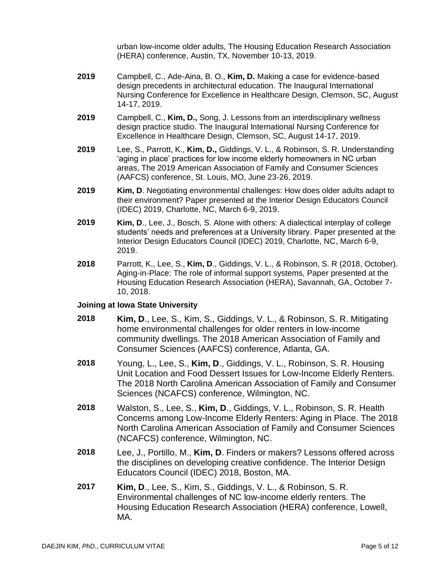urban low-income older adults, The Housing Education Research Association (HERA) conference, Austin, TX, November 10-13, 2019.

- **2019** Campbell, C., Ade-Aina, B. O., **Kim, D.** Making a case for evidence-based design precedents in architectural education. The Inaugural International Nursing Conference for Excellence in Healthcare Design, Clemson, SC, August 14-17, 2019.
- **2019** Campbell, C., **Kim, D.,** Song, J. Lessons from an interdisciplinary wellness design practice studio. The Inaugural International Nursing Conference for Excellence in Healthcare Design, Clemson, SC, August 14-17, 2019.
- **2019** Lee, S., Parrott, K., **Kim, D.,** Giddings, V. L., & Robinson, S. R. Understanding 'aging in place' practices for low income elderly homeowners in NC urban areas, The 2019 American Association of Family and Consumer Sciences (AAFCS) conference, St. Louis, MO, June 23-26, 2019.
- **2019 Kim, D**. Negotiating environmental challenges: How does older adults adapt to their environment? Paper presented at the Interior Design Educators Council (IDEC) 2019, Charlotte, NC, March 6-9, 2019.
- **2019 Kim, D**., Lee, J., Bosch, S. Alone with others: A dialectical interplay of college students' needs and preferences at a University library. Paper presented at the Interior Design Educators Council (IDEC) 2019, Charlotte, NC, March 6-9, 2019.
- **2018** Parrott, K., Lee, S., **Kim, D**., Giddings, V. L., & Robinson, S. R (2018, October). Aging-in-Place: The role of informal support systems, Paper presented at the Housing Education Research Association (HERA), Savannah, GA, October 7- 10, 2018.

#### **Joining at Iowa State University**

- **2018 Kim, D**., Lee, S., Kim, S., Giddings, V. L., & Robinson, S. R. Mitigating home environmental challenges for older renters in low-income community dwellings. The 2018 American Association of Family and Consumer Sciences (AAFCS) conference, Atlanta, GA.
- **2018** Young, L., Lee, S., **Kim, D**., Giddings, V. L., Robinson, S. R. Housing Unit Location and Food Dessert Issues for Low-Income Elderly Renters. The 2018 North Carolina American Association of Family and Consumer Sciences (NCAFCS) conference, Wilmington, NC.
- **2018** Walston, S., Lee, S., **Kim, D**., Giddings, V. L., Robinson, S. R. Health Concerns among Low-Income Elderly Renters: Aging in Place. The 2018 North Carolina American Association of Family and Consumer Sciences (NCAFCS) conference, Wilmington, NC.
- **2018** Lee, J., Portillo, M., **Kim, D**. Finders or makers? Lessons offered across the disciplines on developing creative confidence. The Interior Design Educators Council (IDEC) 2018, Boston, MA.
- **2017 Kim, D**., Lee, S., Kim, S., Giddings, V. L., & Robinson, S. R. Environmental challenges of NC low-income elderly renters. The Housing Education Research Association (HERA) conference, Lowell, MA.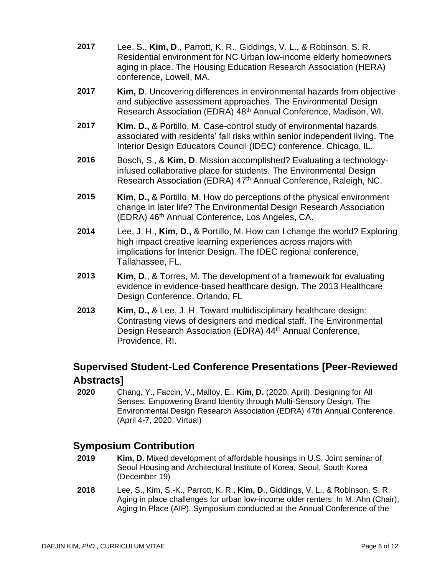- **2017** Lee, S., **Kim, D**., Parrott, K. R., Giddings, V. L., & Robinson, S. R. Residential environment for NC Urban low-income elderly homeowners aging in place. The Housing Education Research Association (HERA) conference, Lowell, MA.
- **2017 Kim, D**. Uncovering differences in environmental hazards from objective and subjective assessment approaches. The Environmental Design Research Association (EDRA) 48<sup>th</sup> Annual Conference, Madison, WI.
- **2017 Kim. D.,** & Portillo, M. Case-control study of environmental hazards associated with residents' fall risks within senior independent living. The Interior Design Educators Council (IDEC) conference, Chicago, IL.
- **2016** Bosch, S., & **Kim, D**. Mission accomplished? Evaluating a technologyinfused collaborative place for students. The Environmental Design Research Association (EDRA) 47<sup>th</sup> Annual Conference, Raleigh, NC.
- **2015 Kim, D.,** & Portillo, M. How do perceptions of the physical environment change in later life? The Environmental Design Research Association (EDRA) 46<sup>th</sup> Annual Conference, Los Angeles, CA.
- **2014** Lee, J. H., **Kim, D.,** & Portillo, M. How can I change the world? Exploring high impact creative learning experiences across majors with implications for Interior Design. The IDEC regional conference, Tallahassee, FL.
- **2013 Kim, D**., & Torres, M. The development of a framework for evaluating evidence in evidence-based healthcare design. The 2013 Healthcare Design Conference, Orlando, FL
- **2013 Kim, D.,** & Lee, J. H. Toward multidisciplinary healthcare design: Contrasting views of designers and medical staff. The Environmental Design Research Association (EDRA) 44<sup>th</sup> Annual Conference, Providence, RI.

# **Supervised Student-Led Conference Presentations [Peer-Reviewed Abstracts]**

**2020** Chang, Y., Faccin, V., Malloy, E., **Kim, D.** (2020, April). Designing for All Senses: Empowering Brand Identity through Multi-Sensory Design, The Environmental Design Research Association (EDRA) 47th Annual Conference. (April 4-7, 2020: Virtual)

# **Symposium Contribution**

- **2019 Kim, D.** Mixed development of affordable housings in U.S, Joint seminar of Seoul Housing and Architectural Institute of Korea, Seoul, South Korea (December 19)
- **2018** Lee, S., Kim, S.-K., Parrott, K. R., **Kim, D**., Giddings, V. L., & Robinson, S. R. Aging in place challenges for urban low-income older renters. In M. Ahn (Chair), Aging In Place (AIP). Symposium conducted at the Annual Conference of the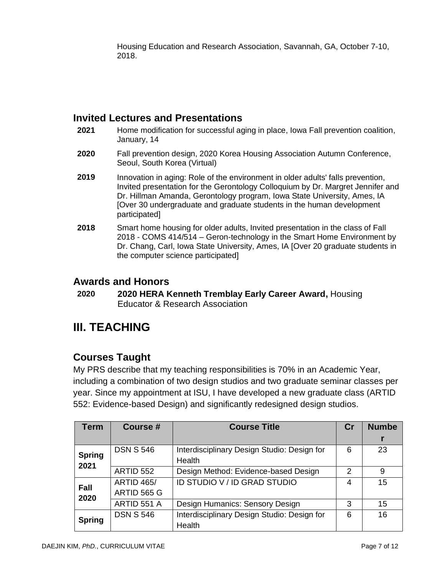Housing Education and Research Association, Savannah, GA, October 7-10, 2018.

# **Invited Lectures and Presentations**

- **2021** Home modification for successful aging in place, Iowa Fall prevention coalition, January, 14
- **2020** Fall prevention design, 2020 Korea Housing Association Autumn Conference, Seoul, South Korea (Virtual)
- **2019** Innovation in aging: Role of the environment in older adults' falls prevention, Invited presentation for the Gerontology Colloquium by Dr. Margret Jennifer and Dr. Hillman Amanda, Gerontology program, Iowa State University, Ames, IA [Over 30 undergraduate and graduate students in the human development participated]
- **2018** Smart home housing for older adults, Invited presentation in the class of Fall 2018 - COMS 414/514 – Geron-technology in the Smart Home Environment by Dr. Chang, Carl, Iowa State University, Ames, IA [Over 20 graduate students in the computer science participated]

# **Awards and Honors**

**2020 2020 HERA Kenneth Tremblay Early Career Award,** Housing Educator & Research Association

# **III. TEACHING**

# **Courses Taught**

My PRS describe that my teaching responsibilities is 70% in an Academic Year, including a combination of two design studios and two graduate seminar classes per year. Since my appointment at ISU, I have developed a new graduate class (ARTID 552: Evidence-based Design) and significantly redesigned design studios.

| <b>Term</b>           | Course #          | <b>Course Title</b>                                   | $\mathbf{C}$ r | <b>Numbe</b> |
|-----------------------|-------------------|-------------------------------------------------------|----------------|--------------|
|                       |                   |                                                       |                |              |
| <b>Spring</b><br>2021 | <b>DSN S 546</b>  | Interdisciplinary Design Studio: Design for<br>Health | 6              | 23           |
|                       | ARTID 552         | Design Method: Evidence-based Design                  | 2              | 9            |
| <b>Fall</b><br>2020   | <b>ARTID 465/</b> | ID STUDIO V / ID GRAD STUDIO                          | 4              | 15           |
|                       | ARTID 565 G       |                                                       |                |              |
|                       | ARTID 551 A       | Design Humanics: Sensory Design                       | 3              | 15           |
| <b>Spring</b>         | <b>DSN S 546</b>  | Interdisciplinary Design Studio: Design for           | 6              | 16           |
|                       |                   | Health                                                |                |              |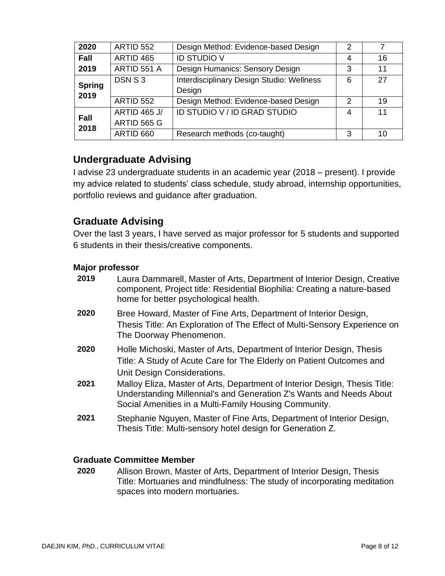| 2020                  | ARTID 552                          | Design Method: Evidence-based Design                       | 2 |    |
|-----------------------|------------------------------------|------------------------------------------------------------|---|----|
| Fall                  | ARTID 465                          | <b>ID STUDIO V</b>                                         | 4 | 16 |
| 2019                  | ARTID 551 A                        | Design Humanics: Sensory Design                            | 3 | 11 |
| <b>Spring</b><br>2019 | DSN S3                             | <b>Interdisciplinary Design Studio: Wellness</b><br>Design | 6 | 27 |
|                       | ARTID 552                          | Design Method: Evidence-based Design                       | 2 | 19 |
| <b>Fall</b><br>2018   | <b>ARTID 465 J/</b><br>ARTID 565 G | ID STUDIO V / ID GRAD STUDIO                               | 4 | 11 |
|                       | ARTID 660                          | Research methods (co-taught)                               | 3 | 10 |

# **Undergraduate Advising**

I advise 23 undergraduate students in an academic year (2018 – present). I provide my advice related to students' class schedule, study abroad, internship opportunities, portfolio reviews and guidance after graduation.

# **Graduate Advising**

Over the last 3 years, I have served as major professor for 5 students and supported 6 students in their thesis/creative components.

#### **Major professor**

| 2019 | Laura Dammarell, Master of Arts, Department of Interior Design, Creative<br>component, Project title: Residential Biophilia: Creating a nature-based<br>home for better psychological health.              |
|------|------------------------------------------------------------------------------------------------------------------------------------------------------------------------------------------------------------|
| 2020 | Bree Howard, Master of Fine Arts, Department of Interior Design,<br>Thesis Title: An Exploration of The Effect of Multi-Sensory Experience on<br>The Doorway Phenomenon.                                   |
| 2020 | Holle Michoski, Master of Arts, Department of Interior Design, Thesis<br>Title: A Study of Acute Care for The Elderly on Patient Outcomes and<br>Unit Design Considerations.                               |
| 2021 | Malloy Eliza, Master of Arts, Department of Interior Design, Thesis Title:<br>Understanding Millennial's and Generation Z's Wants and Needs About<br>Social Amenities in a Multi-Family Housing Community. |
| 2021 | Stephanie Nguyen, Master of Fine Arts, Department of Interior Design,<br>Thesis Title: Multi-sensory hotel design for Generation Z.                                                                        |

#### **Graduate Committee Member**

**2020** Allison Brown, Master of Arts, Department of Interior Design, Thesis Title: Mortuaries and mindfulness: The study of incorporating meditation spaces into modern mortuaries.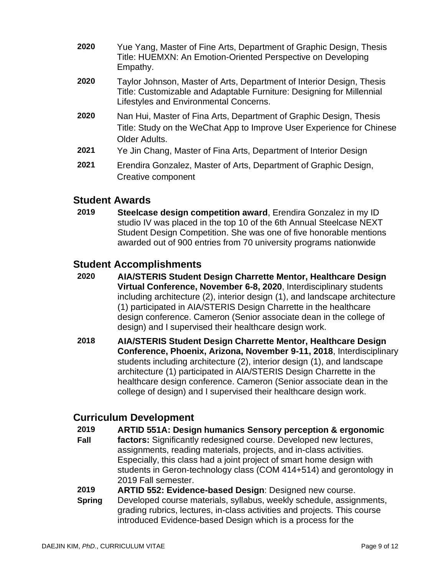- **2020** Yue Yang, Master of Fine Arts, Department of Graphic Design, Thesis Title: HUEMXN: An Emotion-Oriented Perspective on Developing Empathy.
- **2020** Taylor Johnson, Master of Arts, Department of Interior Design, Thesis Title: Customizable and Adaptable Furniture: Designing for Millennial Lifestyles and Environmental Concerns.
- **2020** Nan Hui, Master of Fina Arts, Department of Graphic Design, Thesis Title: Study on the WeChat App to Improve User Experience for Chinese Older Adults.
- **2021** Ye Jin Chang, Master of Fina Arts, Department of Interior Design
- **2021** Erendira Gonzalez, Master of Arts, Department of Graphic Design, Creative component

# **Student Awards**

**2019 Steelcase design competition award**, Erendira Gonzalez in my ID studio IV was placed in the top 10 of the 6th Annual [Steelcase NEXT](https://www.steelcase.com/discover/information/architects-and-designers/next-student-design-competition/)  [Student Design Competition.](https://www.steelcase.com/discover/information/architects-and-designers/next-student-design-competition/) She was one of five honorable mentions awarded out of 900 entries from 70 university programs nationwide

# **Student Accomplishments**

- **2020 AIA/STERIS Student Design Charrette Mentor, Healthcare Design Virtual Conference, November 6-8, 2020**, Interdisciplinary students including architecture (2), interior design (1), and landscape architecture (1) participated in AIA/STERIS Design Charrette in the healthcare design conference. Cameron (Senior associate dean in the college of design) and I supervised their healthcare design work.
- **2018 AIA/STERIS Student Design Charrette Mentor, Healthcare Design Conference, Phoenix, Arizona, November 9-11, 2018**, Interdisciplinary students including architecture (2), interior design (1), and landscape architecture (1) participated in AIA/STERIS Design Charrette in the healthcare design conference. Cameron (Senior associate dean in the college of design) and I supervised their healthcare design work.

# **Curriculum Development**

**2019 ARTID 551A: Design humanics Sensory perception & ergonomic** 

- **Fall factors:** Significantly redesigned course. Developed new lectures, assignments, reading materials, projects, and in-class activities. Especially, this class had a joint project of smart home design with students in Geron-technology class (COM 414+514) and gerontology in 2019 Fall semester.
- **2019 ARTID 552: Evidence-based Design**: Designed new course.
- **Spring** Developed course materials, syllabus, weekly schedule, assignments, grading rubrics, lectures, in-class activities and projects. This course introduced Evidence-based Design which is a process for the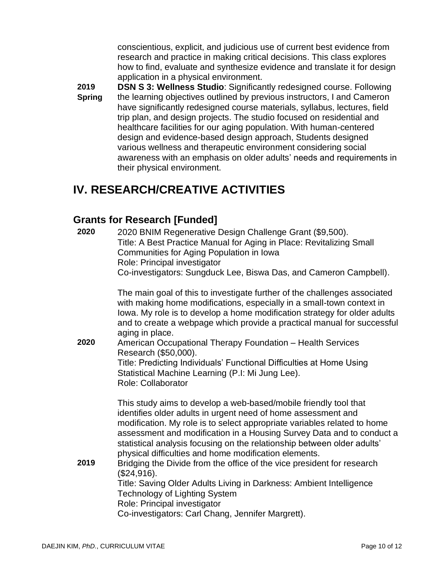conscientious, explicit, and judicious use of current best evidence from research and practice in making critical decisions. This class explores how to find, evaluate and synthesize evidence and translate it for design application in a physical environment.

**2019 Spring DSN S 3: Wellness Studio**: Significantly redesigned course. Following the learning objectives outlined by previous instructors, I and Cameron have significantly redesigned course materials, syllabus, lectures, field trip plan, and design projects. The studio focused on residential and healthcare facilities for our aging population. With human-centered design and evidence-based design approach, Students designed various wellness and therapeutic environment considering social awareness with an emphasis on older adults' needs and requirements in their physical environment.

# **IV. RESEARCH/CREATIVE ACTIVITIES**

# **Grants for Research [Funded]**

| 2020 | 2020 BNIM Regenerative Design Challenge Grant (\$9,500).<br>Title: A Best Practice Manual for Aging in Place: Revitalizing Small<br>Communities for Aging Population in Iowa<br>Role: Principal investigator<br>Co-investigators: Sungduck Lee, Biswa Das, and Cameron Campbell).                                                                                                                                                                                                                                                                                                                                                                                                                                       |
|------|-------------------------------------------------------------------------------------------------------------------------------------------------------------------------------------------------------------------------------------------------------------------------------------------------------------------------------------------------------------------------------------------------------------------------------------------------------------------------------------------------------------------------------------------------------------------------------------------------------------------------------------------------------------------------------------------------------------------------|
| 2020 | The main goal of this to investigate further of the challenges associated<br>with making home modifications, especially in a small-town context in<br>lowa. My role is to develop a home modification strategy for older adults<br>and to create a webpage which provide a practical manual for successful<br>aging in place.<br>American Occupational Therapy Foundation - Health Services<br>Research (\$50,000).<br>Title: Predicting Individuals' Functional Difficulties at Home Using<br>Statistical Machine Learning (P.I: Mi Jung Lee).<br><b>Role: Collaborator</b>                                                                                                                                            |
| 2019 | This study aims to develop a web-based/mobile friendly tool that<br>identifies older adults in urgent need of home assessment and<br>modification. My role is to select appropriate variables related to home<br>assessment and modification in a Housing Survey Data and to conduct a<br>statistical analysis focusing on the relationship between older adults'<br>physical difficulties and home modification elements.<br>Bridging the Divide from the office of the vice president for research<br>(\$24,916).<br>Title: Saving Older Adults Living in Darkness: Ambient Intelligence<br><b>Technology of Lighting System</b><br>Role: Principal investigator<br>Co-investigators: Carl Chang, Jennifer Margrett). |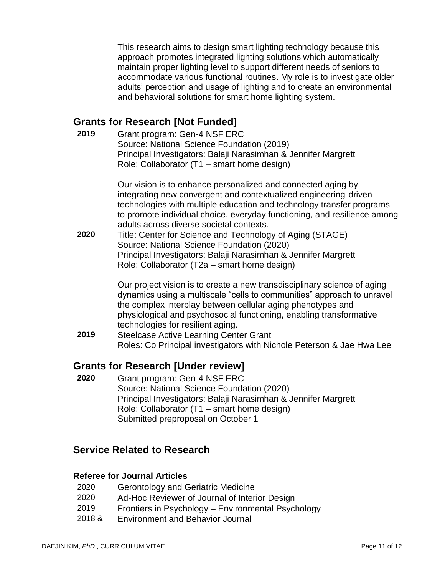This research aims to design smart lighting technology because this approach promotes integrated lighting solutions which automatically maintain proper lighting level to support different needs of seniors to accommodate various functional routines. My role is to investigate older adults' perception and usage of lighting and to create an environmental and behavioral solutions for smart home lighting system.

# **Grants for Research [Not Funded]**

| 2019 | Grant program: Gen-4 NSF ERC<br>Source: National Science Foundation (2019)<br>Principal Investigators: Balaji Narasimhan & Jennifer Margrett<br>Role: Collaborator (T1 - smart home design)                                                                                                                                                                                                                                                                                                                                                                    |
|------|----------------------------------------------------------------------------------------------------------------------------------------------------------------------------------------------------------------------------------------------------------------------------------------------------------------------------------------------------------------------------------------------------------------------------------------------------------------------------------------------------------------------------------------------------------------|
| 2020 | Our vision is to enhance personalized and connected aging by<br>integrating new convergent and contextualized engineering-driven<br>technologies with multiple education and technology transfer programs<br>to promote individual choice, everyday functioning, and resilience among<br>adults across diverse societal contexts.<br>Title: Center for Science and Technology of Aging (STAGE)<br>Source: National Science Foundation (2020)<br>Principal Investigators: Balaji Narasimhan & Jennifer Margrett<br>Role: Collaborator (T2a – smart home design) |
| 2019 | Our project vision is to create a new transdisciplinary science of aging<br>dynamics using a multiscale "cells to communities" approach to unravel<br>the complex interplay between cellular aging phenotypes and<br>physiological and psychosocial functioning, enabling transformative<br>technologies for resilient aging.<br><b>Steelcase Active Learning Center Grant</b><br>Roles: Co Principal investigators with Nichole Peterson & Jae Hwa Lee                                                                                                        |

### **Grants for Research [Under review]**

**2020** Grant program: Gen-4 NSF ERC Source: National Science Foundation (2020) Principal Investigators: Balaji Narasimhan & Jennifer Margrett Role: Collaborator (T1 – smart home design) Submitted preproposal on October 1

# **Service Related to Research**

#### **Referee for Journal Articles**

- 2020 Gerontology and Geriatric Medicine
- 2020 Ad-Hoc Reviewer of Journal of Interior Design
- 2019 Frontiers in Psychology Environmental Psychology
- 2018 & Environment and Behavior Journal